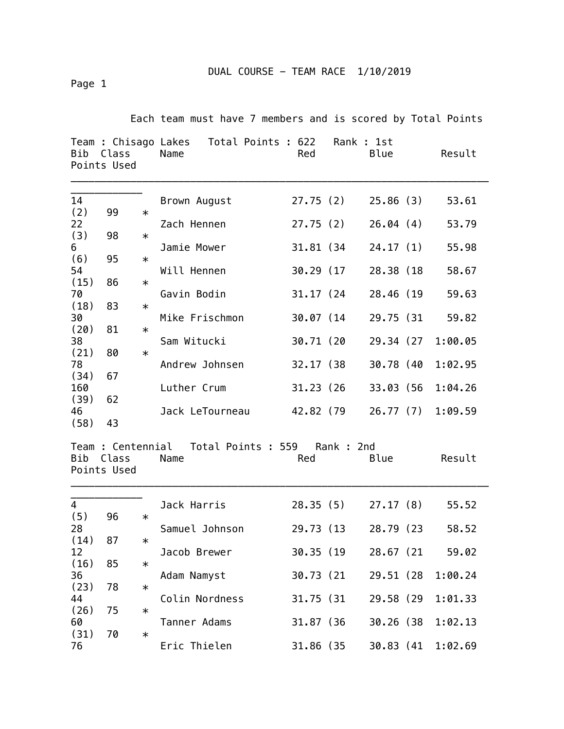Page 1

Each team must have 7 members and is scored by Total Points

| Bib        | Class<br>Points Used |        | Team : Chisago Lakes Total Points : 622<br>Name | Red        | Rank : 1st | Blue       | Result  |
|------------|----------------------|--------|-------------------------------------------------|------------|------------|------------|---------|
| 14         |                      |        | Brown August                                    |            | 27.75(2)   | 25.86(3)   | 53.61   |
| (2)        | 99                   | $\ast$ |                                                 |            |            |            |         |
| 22         |                      |        | Zach Hennen                                     | 27.75(2)   |            | 26.04(4)   | 53.79   |
| (3)        | 98                   | $\ast$ |                                                 |            |            |            |         |
| 6<br>(6)   | 95                   | $\ast$ | Jamie Mower                                     |            | 31.81 (34  | 24.17(1)   | 55.98   |
| 54         |                      |        | Will Hennen                                     | 30.29 (17  |            | 28.38 (18  | 58.67   |
| (15)       | 86                   | $\ast$ |                                                 |            |            |            |         |
| 70         |                      |        | Gavin Bodin                                     | 31.17 (24) |            | 28.46 (19  | 59.63   |
| (18)       | 83                   | $\ast$ |                                                 |            |            |            |         |
| 30<br>(20) | 81                   |        | Mike Frischmon                                  | 30.07 (14  |            | 29.75 (31  | 59.82   |
| 38         |                      | $\ast$ | Sam Witucki                                     | 30.71 (20  |            | 29.34 (27  | 1:00.05 |
| (21)       | 80                   | $\ast$ |                                                 |            |            |            |         |
| 78         |                      |        | Andrew Johnsen                                  | 32.17 (38) |            | 30.78 (40  | 1:02.95 |
| (34)       | 67                   |        |                                                 |            |            |            |         |
| 160        |                      |        | Luther Crum                                     | 31.23(26)  |            | 33.03 (56  | 1:04.26 |
| (39)<br>46 | 62                   |        | Jack LeTourneau                                 |            | 42.82 (79  | 26.77(7)   | 1:09.59 |
| (58)       | 43                   |        |                                                 |            |            |            |         |
| Bib        | Class<br>Points Used |        | Team : Centennial Total Points : 559<br>Name    | Red        | Rank: 2nd  | Blue       | Result  |
| 4          |                      |        | Jack Harris                                     |            | 28.35(5)   | 27.17(8)   | 55.52   |
| (5)        | 96                   | $\ast$ |                                                 |            |            |            |         |
| 28         |                      |        | Samuel Johnson                                  | 29.73 (13) |            | 28.79 (23) | 58.52   |
| (14)<br>12 | 87                   | $\ast$ | Jacob Brewer                                    | 30.35 (19  |            | 28.67 (21  | 59.02   |
| (16)       | 85                   | $\ast$ |                                                 |            |            |            |         |
| 36         |                      |        | Adam Namyst                                     | 30.73 (21) |            | 29.51 (28  | 1:00.24 |
| (23)       | 78                   | $\ast$ |                                                 |            |            |            |         |
| 44         |                      |        | Colin Nordness                                  | 31.75 (31) |            | 29.58 (29  | 1:01.33 |
| (26)<br>60 | 75                   | $\ast$ | Tanner Adams                                    |            |            | 30.26 (38  |         |
| (31)       | 70                   | $\ast$ |                                                 | 31.87 (36) |            |            | 1:02.13 |
| 76         |                      |        | Eric Thielen                                    | 31.86 (35  |            | 30.83 (41  | 1:02.69 |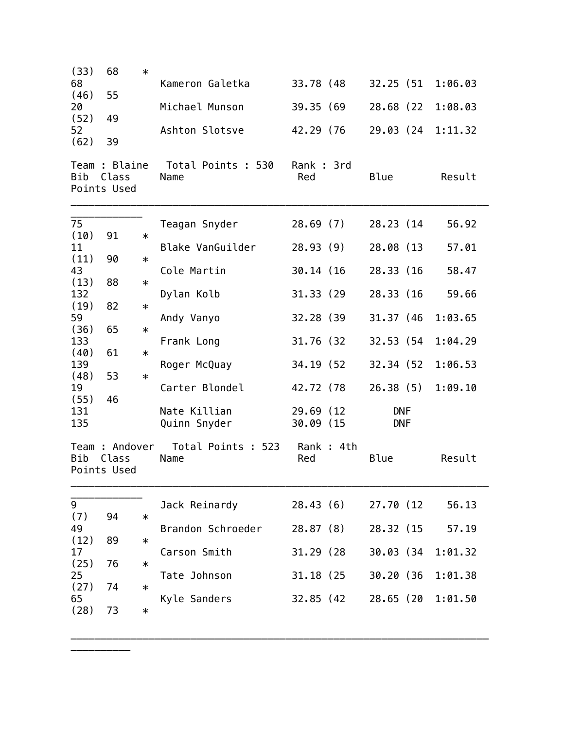| (33)<br>68         | 68                                    | $\ast$ | Kameron Galetka              | 33.78 (48)              | 32.25 (51                | 1:06.03 |
|--------------------|---------------------------------------|--------|------------------------------|-------------------------|--------------------------|---------|
| (46)               | 55                                    |        |                              |                         |                          |         |
| 20<br>(52)         | 49                                    |        | Michael Munson               | 39.35 (69               | 28.68 (22                | 1:08.03 |
| 52<br>(62)         | 39                                    |        | Ashton Slotsve               | 42.29 (76               | 29.03 (24                | 1:11.32 |
| Bib                | Team : Blaine<br>Class<br>Points Used |        | Total Points : 530<br>Name   | Rank: 3rd<br>Red        | Blue                     | Result  |
| 75                 |                                       |        | Teagan Snyder                | 28.69(7)                | 28.23 (14)               | 56.92   |
| (10)<br>11         | 91                                    | $\ast$ | Blake VanGuilder             | 28.93(9)                | 28.08 (13                | 57.01   |
| (11)<br>43         | 90                                    | $\ast$ | Cole Martin                  | 30.14 (16)              | 28.33 (16                | 58.47   |
| (13)<br>132        | 88                                    | $\ast$ | Dylan Kolb                   | 31.33 (29)              | 28.33 (16)               | 59.66   |
| (19)<br>59         | 82                                    | $\ast$ | Andy Vanyo                   | 32.28 (39)              | 31.37 (46)               | 1:03.65 |
| (36)               | 65                                    | $\ast$ |                              |                         |                          |         |
| 133<br>(40)        | 61                                    | $\ast$ | Frank Long                   | 31.76 (32               | 32.53 (54                | 1:04.29 |
| 139<br>(48)        | 53                                    | $\ast$ | Roger McQuay                 | 34.19 (52)              | 32.34 (52)               | 1:06.53 |
| 19                 |                                       |        | Carter Blondel               | 42.72 (78               | 26.38(5)                 | 1:09.10 |
| (55)<br>131<br>135 | 46                                    |        | Nate Killian<br>Quinn Snyder | 29.69 (12)<br>30.09 (15 | <b>DNF</b><br><b>DNF</b> |         |
| Bib                | Team: Andover<br>Class<br>Points Used |        | Total Points : 523<br>Name   | Rank: 4th<br>Red        | Blue                     | Result  |
| 9                  |                                       |        | Jack Reinardy                | 28.43(6)                | 27.70 (12)               | 56.13   |
| (7)<br>49          | 94                                    | $\ast$ | Brandon Schroeder            | 28.87(8)                | 28.32 (15                | 57.19   |
| (12)<br>17         | 89                                    | $\ast$ | Carson Smith                 | 31.29 (28               | 30.03 (34                | 1:01.32 |
| (25)<br>25         | 76                                    | $\ast$ | Tate Johnson                 | 31.18 (25               | 30.20 (36                | 1:01.38 |
| (27)               | 74                                    | $\ast$ |                              |                         |                          |         |
| 65<br>(28)         | 73                                    | $\ast$ | Kyle Sanders                 | 32.85 (42               | 28.65 (20                | 1:01.50 |

\_\_\_\_\_\_\_\_\_\_\_\_\_\_\_\_\_\_\_\_\_\_\_\_\_\_\_\_\_\_\_\_\_\_\_\_\_\_\_\_\_\_\_\_\_\_\_\_\_\_\_\_\_\_\_\_\_\_\_\_\_\_\_\_\_\_\_\_\_\_

\_\_\_\_\_\_\_\_\_\_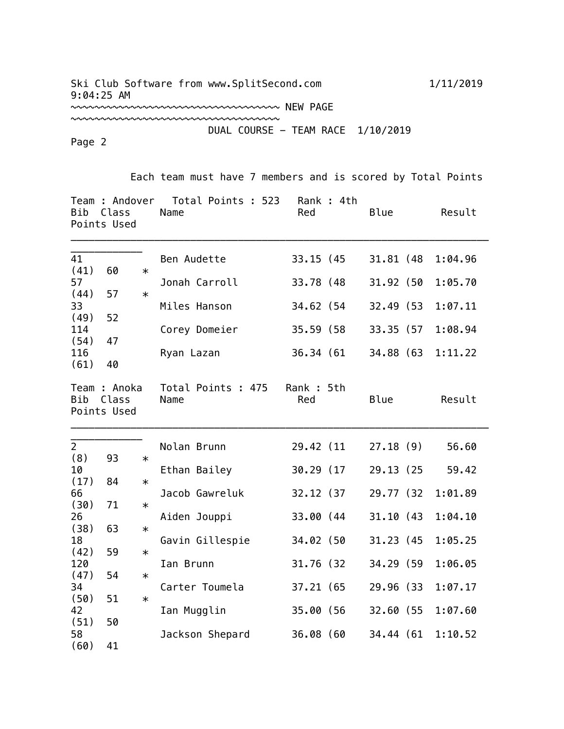## Ski Club Software from www.SplitSecond.com 1/11/2019 9:04:25 AM

~~~~~~~~~~~~~~~~~~~~~~~~~~~~~~~~~~~

~~~~~~~~~~~~~~~~~~~~~~~~~~~~~~~~~~~ NEW PAGE

## DUAL COURSE - TEAM RACE 1/10/2019

Page 2

Each team must have 7 members and is scored by Total Points

| Bib                   | Team : Andover<br>Class<br>Points Used |        | Total Points : 523<br>Name | Red              | Rank : 4th | Blue       | Result  |
|-----------------------|----------------------------------------|--------|----------------------------|------------------|------------|------------|---------|
| 41<br>(41)            | 60                                     | $\ast$ | Ben Audette                | 33.15 (45)       |            | 31.81 (48) | 1:04.96 |
| 57                    |                                        |        | Jonah Carroll              | 33.78 (48)       |            | 31.92 (50  | 1:05.70 |
| (44)<br>33            | 57                                     | $\ast$ | Miles Hanson               | 34.62 (54        |            | 32.49 (53) | 1:07.11 |
| (49)                  | 52                                     |        |                            |                  |            |            |         |
| 114<br>(54)           | 47                                     |        | Corey Domeier              | 35.59 (58)       |            | 33.35 (57  | 1:08.94 |
| 116<br>(61)           | 40                                     |        | Ryan Lazan                 | 36.34 (61)       |            | 34.88 (63  | 1:11.22 |
| Bib                   | Team : Anoka<br>Class<br>Points Used   |        | Total Points : 475<br>Name | Rank: 5th<br>Red |            | Blue       | Result  |
| $\overline{2}$<br>(8) | 93                                     | $\ast$ | Nolan Brunn                | 29.42 (11        |            | 27.18(9)   | 56.60   |
| 10                    |                                        |        | Ethan Bailey               | 30.29 (17        |            | 29.13 (25) | 59.42   |
| (17)<br>66            | 84                                     | $\ast$ | Jacob Gawreluk             | 32.12 (37)       |            | 29.77 (32) | 1:01.89 |
| (30)                  | 71                                     | $\ast$ |                            |                  |            |            |         |
| 26<br>(38)            | 63                                     | $\ast$ | Aiden Jouppi               | 33.00 (44        |            | 31.10(43)  | 1:04.10 |
| 18                    |                                        |        | Gavin Gillespie            | 34.02 (50        |            | 31.23 (45) | 1:05.25 |
| (42)<br>120           | 59                                     | $\ast$ | Ian Brunn                  | 31.76 (32)       |            | 34.29 (59  | 1:06.05 |
| (47)                  | 54                                     | $\ast$ |                            |                  |            |            |         |
| 34<br>(50)            | 51                                     | $\ast$ | Carter Toumela             | 37.21 (65        |            | 29.96 (33) | 1:07.17 |
| 42<br>(51)            | 50                                     |        | Ian Mugglin                | 35.00 (56        |            | 32.60 (55  | 1:07.60 |
| 58                    |                                        |        | Jackson Shepard            | 36.08 (60        |            | 34.44 (61  | 1:10.52 |
| (60)                  | 41                                     |        |                            |                  |            |            |         |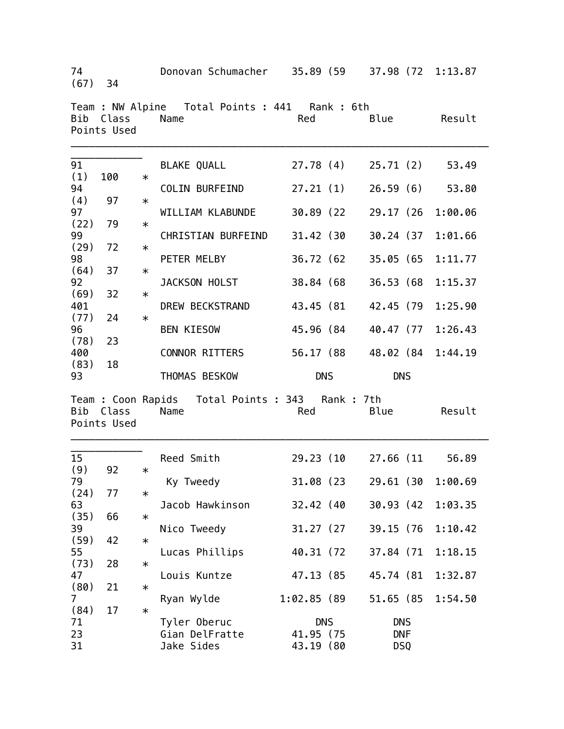| 74<br>$(67)$ 34              |                          |        | Donovan Schumacher 35.89 (59                             |                          | 37.98 (72              | 1:13.87            |
|------------------------------|--------------------------|--------|----------------------------------------------------------|--------------------------|------------------------|--------------------|
|                              | Bib Class<br>Points Used |        | Team : NW Alpine  Total Points : 441  Rank : 6th<br>Name | Red                      | Blue                   | Result             |
| 91                           |                          |        | BLAKE QUALL                                              | 27.78 (4)                | 25.71(2)               | 53.49              |
| (1)<br>94                    | 100                      | $\ast$ | COLIN BURFEIND                                           | 27.21(1)                 | 26.59(6)               | 53.80              |
| (4)<br>97                    | 97                       | $\ast$ | WILLIAM KLABUNDE                                         | 30.89 (22                | 29.17 (26              | 1:00.06            |
| (22)<br>99                   | 79                       | $\ast$ | CHRISTIAN BURFEIND                                       | 31.42 (30                | 30.24 (37              | 1:01.66            |
| (29)<br>98                   | 72                       | $\ast$ | PETER MELBY                                              | 36.72 (62                | 35.05 (65              | 1:11.77            |
| (64)<br>92                   | 37                       | $\ast$ | JACKSON HOLST                                            | 38.84 (68                | 36.53 (68              | 1:15.37            |
| (69)<br>401                  | 32                       | $\ast$ | DREW BECKSTRAND                                          | 43.45 (81                | 42.45 (79              | 1:25.90            |
| (77)<br>96                   | 24                       | $\ast$ | <b>BEN KIESOW</b>                                        | 45.96 (84                | 40.47 (77              | 1:26.43            |
| (78)<br>400                  | 23                       |        | CONNOR RITTERS                                           | 56.17 (88                | 48.02 (84              | 1:44.19            |
|                              |                          |        |                                                          |                          |                        |                    |
| (83)<br>93                   | 18                       |        | THOMAS BESKOW                                            | <b>DNS</b>               | <b>DNS</b>             |                    |
|                              | Bib Class<br>Points Used |        | Team : Coon Rapids Total Points : 343 Rank : 7th<br>Name | Red                      | Blue                   | Result             |
| 15                           |                          |        | Reed Smith                                               | 29.23 (10                | 27.66 (11              | 56.89              |
| (9)<br>79                    | 92                       | $\ast$ | Ky Tweedy                                                | 31.08 (23                | 29.61 (30              | 1:00.69            |
| (24)<br>63                   | 77                       | $\ast$ | Jacob Hawkinson                                          | 32.42 (40                | 30.93 (42              | 1:03.35            |
| (35)<br>39                   | 66                       | $\ast$ | Nico Tweedy                                              | 31.27 (27)               | 39.15 (76              | 1:10.42            |
| (59)                         | 42                       | $\ast$ |                                                          |                          |                        |                    |
| 55<br>(73)                   | 28                       | $\ast$ | Lucas Phillips                                           | 40.31 (72)               | 37.84 (71              | 1:18.15            |
| 47<br>(80)<br>$\overline{7}$ | 21                       | $\ast$ | Louis Kuntze<br>Ryan Wylde                               | 47.13 (85<br>1:02.85(89) | 45.74 (81<br>51.65 (85 | 1:32.87<br>1:54.50 |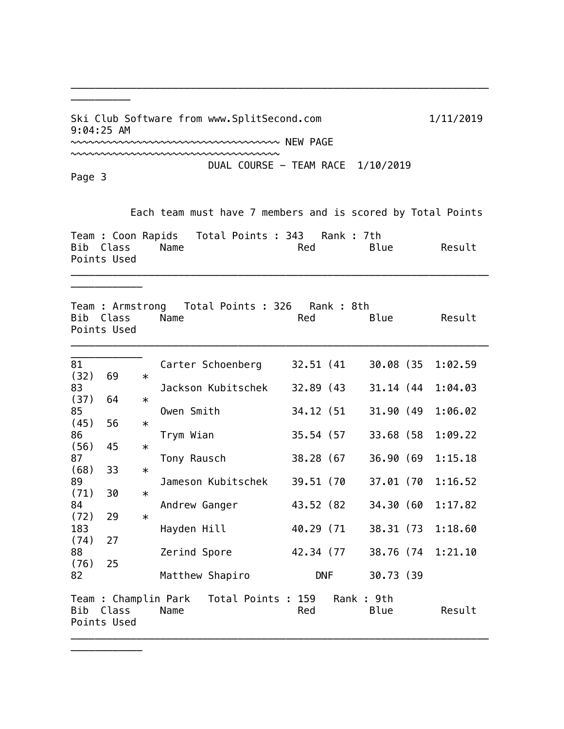Ski Club Software from www.SplitSecond.com 1/11/2019 9:04:25 AM

~~~~~~~~~~~~~~~~~~~~~~~~~~~~~~~~~~~

~~~~~~~~~~~~~~~~~~~~~~~~~~~~~~~~~~~ NEW PAGE

DUAL COURSE - TEAM RACE 1/10/2019

Page 3

\_\_\_\_\_\_\_\_\_\_\_\_

\_\_\_\_\_\_\_\_\_\_\_\_

\_\_\_\_\_\_\_\_\_\_

Each team must have 7 members and is scored by Total Points

| Team : Coon Rapids Total Points : 343 Rank : 7th<br>Bib Class | Name |  | Red |  | Blue | Result |  |
|---------------------------------------------------------------|------|--|-----|--|------|--------|--|
| Points Used                                                   |      |  |     |  |      |        |  |

\_\_\_\_\_\_\_\_\_\_\_\_\_\_\_\_\_\_\_\_\_\_\_\_\_\_\_\_\_\_\_\_\_\_\_\_\_\_\_\_\_\_\_\_\_\_\_\_\_\_\_\_\_\_\_\_\_\_\_\_\_\_\_\_\_\_\_\_\_\_

Team : Armstrong Total Points : 326 Rank : 8th Bib Class Name **Red** Blue Result Points Used \_\_\_\_\_\_\_\_\_\_\_\_\_\_\_\_\_\_\_\_\_\_\_\_\_\_\_\_\_\_\_\_\_\_\_\_\_\_\_\_\_\_\_\_\_\_\_\_\_\_\_\_\_\_\_\_\_\_\_\_\_\_\_\_\_\_\_\_\_\_

| 81   |             |        | Carter Schoenberg                        | 32.51 (41) |            | 30.08 (35 | 1:02.59           |
|------|-------------|--------|------------------------------------------|------------|------------|-----------|-------------------|
| (32) | 69          | $\ast$ |                                          |            |            |           |                   |
| 83   |             |        | Jackson Kubitschek                       | 32.89 (43) |            | 31.14 (44 | 1:04.03           |
| (37) | 64          | $\ast$ |                                          |            |            |           |                   |
| 85   |             |        | Owen Smith                               | 34.12 (51) |            | 31.90 (49 | 1:06.02           |
| (45) | 56          | $\ast$ |                                          |            |            |           |                   |
| 86   |             |        | Trym Wian                                | 35.54 (57) |            | 33.68 (58 | 1:09.22           |
| (56) | 45          | $\ast$ |                                          |            |            |           |                   |
| 87   |             |        | Tony Rausch                              | 38.28 (67) |            | 36.90 (69 | 1:15.18           |
| (68) | 33          | $\ast$ |                                          |            |            |           |                   |
| 89   |             |        | Jameson Kubitschek                       | 39.51 (70  |            | 37.01 (70 | 1:16.52           |
| (71) | 30          | $\ast$ |                                          |            |            |           |                   |
| 84   |             |        | Andrew Ganger                            | 43.52 (82) |            | 34.30 (60 | 1:17.82           |
| (72) | 29          | $\ast$ |                                          |            |            |           |                   |
| 183  |             |        | Hayden Hill                              | 40.29 (71  |            | 38.31 (73 | 1:18.60           |
| (74) | 27          |        |                                          |            |            |           |                   |
| 88   |             |        | Zerind Spore                             | 42.34 (77  |            |           | 38.76 (74 1:21.10 |
| (76) | 25          |        |                                          |            |            |           |                   |
| 82   |             |        | Matthew Shapiro                          | <b>DNF</b> |            | 30.73 (39 |                   |
|      |             |        |                                          |            |            |           |                   |
|      |             |        | Team : Champlin Park  Total Points : 159 |            | Rank : 9th |           |                   |
| Bib  | Class       |        | Name                                     | Red        |            | Blue      | Result            |
|      | Points Used |        |                                          |            |            |           |                   |
|      |             |        |                                          |            |            |           |                   |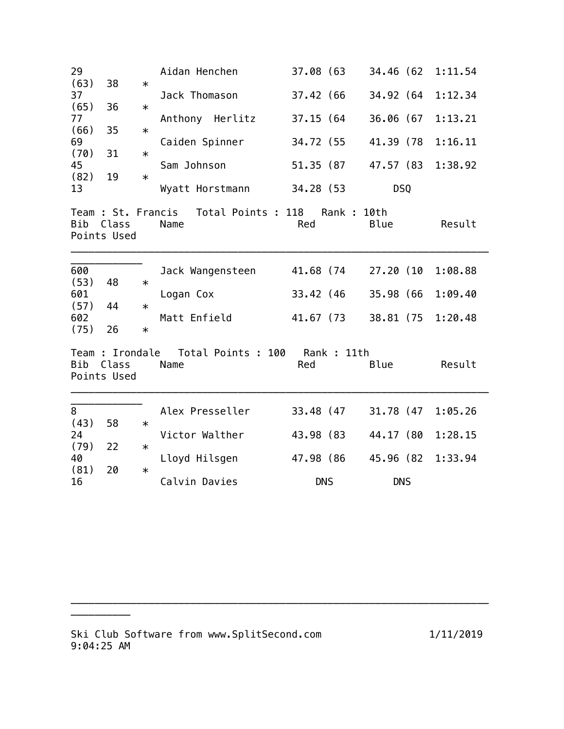| 29          |                      |        | Aidan Henchen                                 | 37.08 (63          | 34.46 (62) | 1:11.54 |
|-------------|----------------------|--------|-----------------------------------------------|--------------------|------------|---------|
| (63)        | 38                   | $\ast$ |                                               |                    |            |         |
| 37<br>(65)  | 36                   | $\ast$ | Jack Thomason                                 | 37.42 (66          | 34.92 (64  | 1:12.34 |
| 77          |                      |        | Anthony Herlitz                               | 37.15 (64          | 36.06 (67  | 1:13.21 |
| (66)        | 35                   | $\ast$ |                                               |                    |            |         |
| 69<br>(70)  | 31                   | $\ast$ | Caiden Spinner                                | 34.72 (55          | 41.39 (78  | 1:16.11 |
| 45          |                      |        | Sam Johnson                                   | 51.35 (87          | 47.57 (83  | 1:38.92 |
| (82)        | 19                   | $\ast$ |                                               |                    |            |         |
| 13          |                      |        | Wyatt Horstmann                               | 34.28 (53          | <b>DSQ</b> |         |
| Bib         | Class<br>Points Used |        | Team : St. Francis Total Points : 118<br>Name | Rank : 10th<br>Red | Blue       | Result  |
| 600         |                      |        | Jack Wangensteen                              | 41.68 (74          | 27.20 (10  | 1:08.88 |
| (53)        | 48                   | $\ast$ |                                               |                    |            |         |
| 601         |                      |        | Logan Cox                                     | 33.42 (46          | 35.98 (66  | 1:09.40 |
| (57)<br>602 | 44                   | $\ast$ | Matt Enfield                                  | 41.67 (73          | 38.81 (75  | 1:20.48 |
| (75)        | 26                   | $\ast$ |                                               |                    |            |         |
| Bib         | Class<br>Points Used |        | Team : Irondale  Total Points : 100<br>Name   | Rank : 11th<br>Red | Blue       | Result  |
| 8           |                      |        | Alex Presseller                               | 33.48 (47          | 31.78 (47  | 1:05.26 |
| (43)        | 58                   | $\ast$ |                                               |                    |            |         |
| 24          |                      |        | Victor Walther                                | 43.98 (83          | 44.17 (80  | 1:28.15 |
| (79)        | 22                   | $\ast$ |                                               |                    |            |         |
| 40<br>(81)  | 20                   | $\ast$ | Lloyd Hilsgen                                 | 47.98 (86          | 45.96 (82  | 1:33.94 |
| 16          |                      |        | Calvin Davies                                 | <b>DNS</b>         | <b>DNS</b> |         |

\_\_\_\_\_\_\_\_\_\_\_\_\_\_\_\_\_\_\_\_\_\_\_\_\_\_\_\_\_\_\_\_\_\_\_\_\_\_\_\_\_\_\_\_\_\_\_\_\_\_\_\_\_\_\_\_\_\_\_\_\_\_\_\_\_\_\_\_\_\_

 $\bar{\phantom{a}}$  and  $\bar{\phantom{a}}$